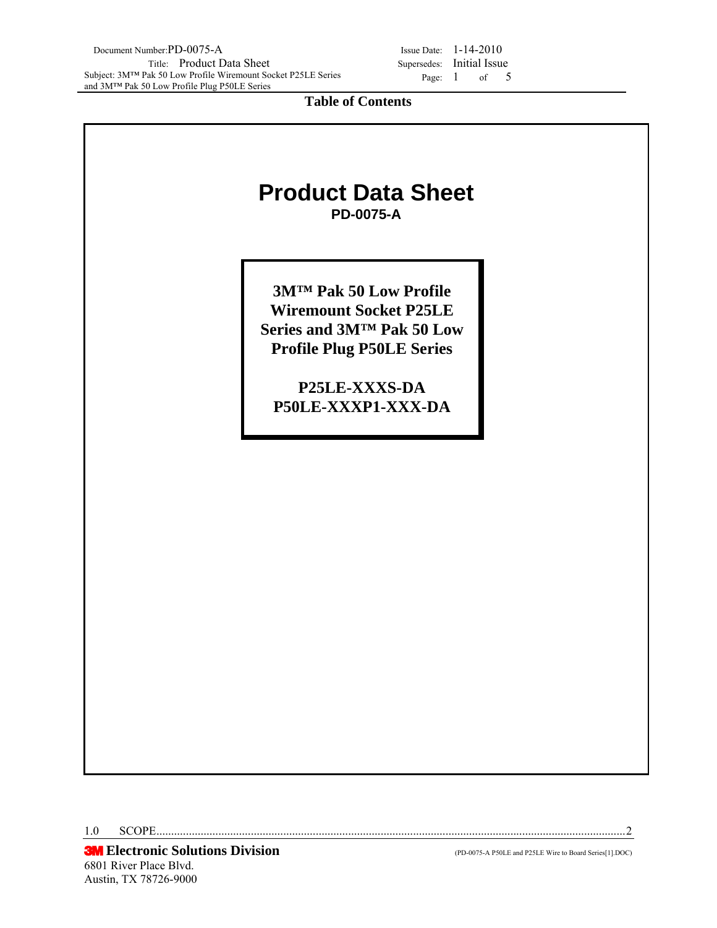Page: 1 of 5

**Table of Contents** 

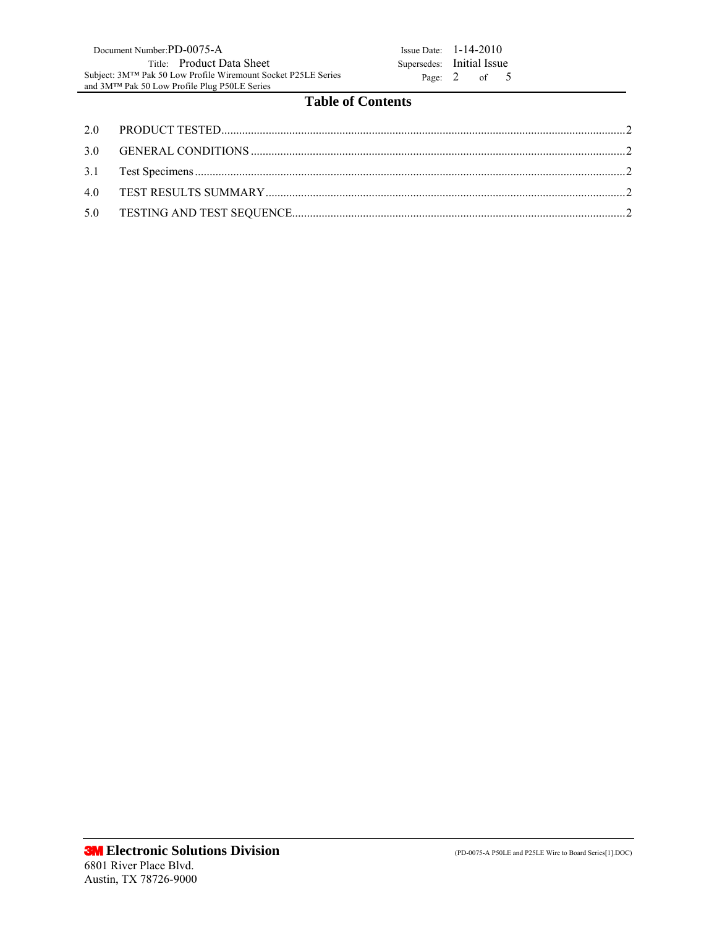# **Table of Contents**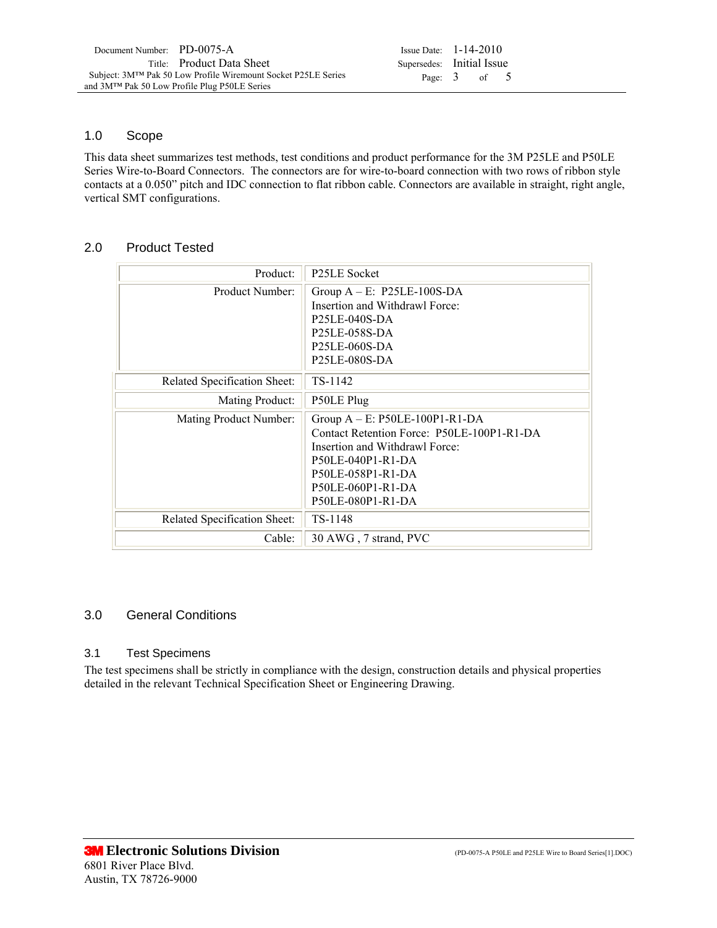Page: 3 of 5

### 1.0 Scope

This data sheet summarizes test methods, test conditions and product performance for the 3M P25LE and P50LE Series Wire-to-Board Connectors. The connectors are for wire-to-board connection with two rows of ribbon style contacts at a 0.050" pitch and IDC connection to flat ribbon cable. Connectors are available in straight, right angle, vertical SMT configurations.

### 2.0 Product Tested

| Product:                     | <b>P25LE Socket</b>                                                                                                                                                                                   |
|------------------------------|-------------------------------------------------------------------------------------------------------------------------------------------------------------------------------------------------------|
| Product Number:              | Group $A - E$ : P25LE-100S-DA<br>Insertion and Withdrawl Force:<br>P25LE-040S-DA<br>P25LE-058S-DA<br>P25LE-060S-DA<br>P25LE-080S-DA                                                                   |
| Related Specification Sheet: | TS-1142                                                                                                                                                                                               |
| Mating Product:              | P50LE Plug                                                                                                                                                                                            |
| Mating Product Number:       | Group $A - E$ : P50LE-100P1-R1-DA<br>Contact Retention Force: P50LE-100P1-R1-DA<br>Insertion and Withdrawl Force:<br>P50LE-040P1-R1-DA<br>P50LE-058P1-R1-DA<br>P50LE-060P1-R1-DA<br>P50LE-080P1-R1-DA |
| Related Specification Sheet: | TS-1148                                                                                                                                                                                               |
| Cable:                       | 30 AWG, 7 strand, PVC                                                                                                                                                                                 |

## 3.0 General Conditions

#### 3.1 Test Specimens

The test specimens shall be strictly in compliance with the design, construction details and physical properties detailed in the relevant Technical Specification Sheet or Engineering Drawing.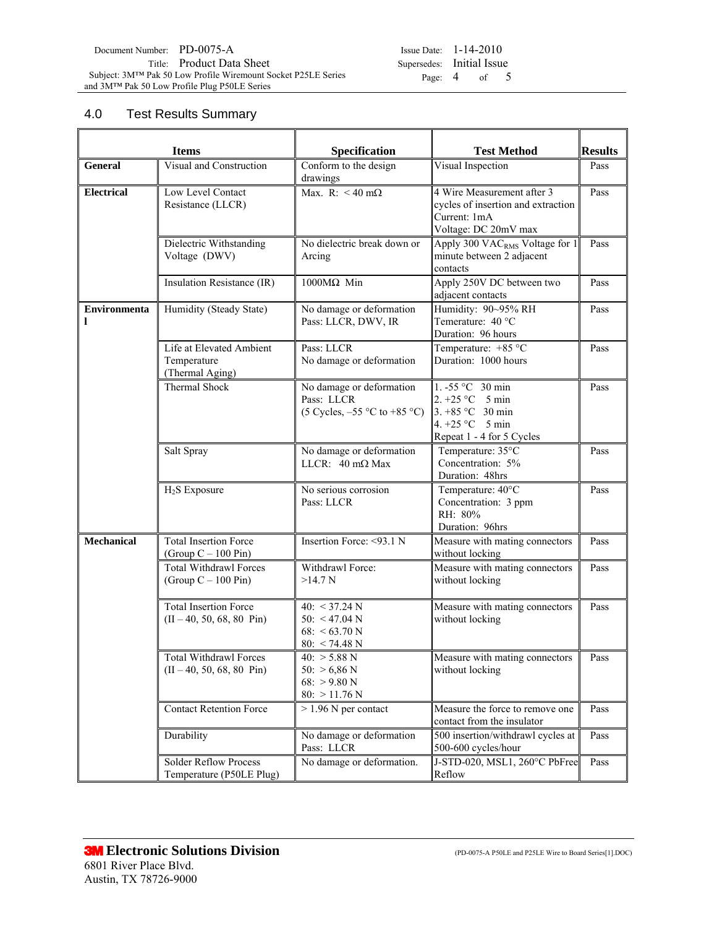| Issue Date: $1-14-2010$   |                |  |
|---------------------------|----------------|--|
| Supersedes: Initial Issue |                |  |
|                           | Page: $4$ of 5 |  |

# 4.0 Test Results Summary

| <b>Items</b>      |                                                                      | Specification                                                                                     | <b>Test Method</b>                                                                                                          | <b>Results</b> |
|-------------------|----------------------------------------------------------------------|---------------------------------------------------------------------------------------------------|-----------------------------------------------------------------------------------------------------------------------------|----------------|
| <b>General</b>    | Visual and Construction                                              | Conform to the design<br>drawings                                                                 | Visual Inspection                                                                                                           | Pass           |
| Electrical        | Low Level Contact<br>Resistance (LLCR)                               | Max. R: $<$ 40 m $\Omega$                                                                         | 4 Wire Measurement after 3<br>cycles of insertion and extraction<br>Current: 1mA<br>Voltage: DC 20mV max                    | Pass           |
|                   | Dielectric Withstanding<br>Voltage (DWV)                             | No dielectric break down or<br>Arcing                                                             | Apply 300 VAC <sub>RMS</sub> Voltage for 1<br>minute between 2 adjacent<br>contacts                                         | Pass           |
|                   | Insulation Resistance (IR)                                           | 1000MΩ Min                                                                                        | Apply 250V DC between two<br>adjacent contacts                                                                              | Pass           |
| Environmenta<br>1 | Humidity (Steady State)                                              | No damage or deformation<br>Pass: LLCR, DWV, IR                                                   | Humidity: 90~95% RH<br>Temerature: 40 °C<br>Duration: 96 hours                                                              | Pass           |
|                   | Life at Elevated Ambient<br>Temperature<br>(Thermal Aging)           | Pass: LLCR<br>No damage or deformation                                                            | Temperature: +85 °C<br>Duration: 1000 hours                                                                                 | Pass           |
|                   | Thermal Shock                                                        | No damage or deformation<br>Pass: LLCR<br>$(5 \text{ Cycles}, -55 \text{ °C to } +85 \text{ °C})$ | 1. -55 °C 30 min<br>2. +25 °C $\,$ 5 min<br>3. +85 $^{\circ}$ C 30 min<br>4. +25 °C $\,$ 5 min<br>Repeat 1 - 4 for 5 Cycles | Pass           |
|                   | Salt Spray                                                           | No damage or deformation<br>LLCR: $40 \text{ m}\Omega$ Max                                        | Temperature: 35°C<br>Concentration: 5%<br>Duration: 48hrs                                                                   | Pass           |
|                   | $H2S$ Exposure                                                       | No serious corrosion<br>Pass: LLCR                                                                | Temperature: 40°C<br>Concentration: 3 ppm<br>RH: 80%<br>Duration: 96hrs                                                     | Pass           |
| <b>Mechanical</b> | <b>Total Insertion Force</b><br>(Group $C - 100$ Pin)                | Insertion Force: <93.1 N                                                                          | Measure with mating connectors<br>without locking                                                                           | Pass           |
|                   | <b>Total Withdrawl Forces</b><br>(Group $C - 100$ Pin)               | Withdrawl Force:<br>>14.7 N                                                                       | Measure with mating connectors<br>without locking                                                                           | Pass           |
|                   | <b>Total Insertion Force</b><br>$(II - 40, 50, 68, 80 \text{ Pin})$  | 40: $<$ 37.24 N<br>50: $<$ 47.04 N<br>68: $<$ 63.70 N<br>$80: < 74.48$ N                          | Measure with mating connectors<br>without locking                                                                           | Pass           |
|                   | <b>Total Withdrawl Forces</b><br>$(II - 40, 50, 68, 80 \text{ Pin})$ | $40: > 5.88$ N<br>$50:$ > 6,86 N<br>$68:$ > 9.80 N<br>$80:$ > 11.76 N                             | Measure with mating connectors<br>without locking                                                                           | Pass           |
|                   | <b>Contact Retention Force</b>                                       | $> 1.96$ N per contact                                                                            | Measure the force to remove one<br>contact from the insulator                                                               | Pass           |
|                   | Durability                                                           | No damage or deformation<br>Pass: LLCR                                                            | 500 insertion/withdrawl cycles at<br>500-600 cycles/hour                                                                    | Pass           |
|                   | <b>Solder Reflow Process</b><br>Temperature (P50LE Plug)             | No damage or deformation.                                                                         | J-STD-020, MSL1, 260°C PbFree<br>Reflow                                                                                     | Pass           |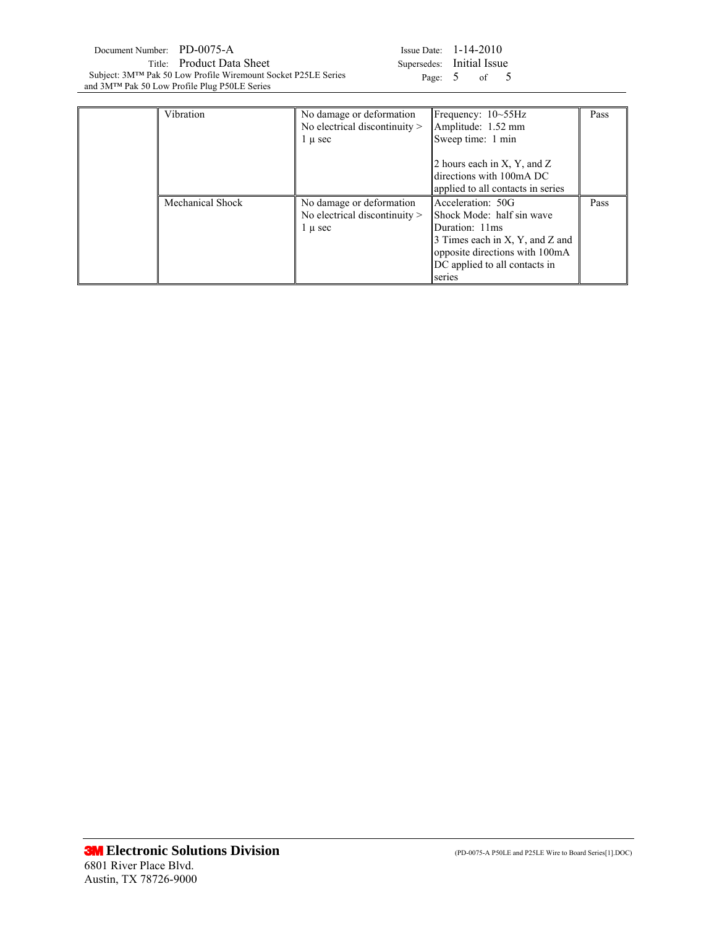| Document Number: PD-0075-A |                                                               | Issue Date: $1-14-2010$   |                  |  |
|----------------------------|---------------------------------------------------------------|---------------------------|------------------|--|
|                            | Title: Product Data Sheet                                     | Supersedes: Initial Issue |                  |  |
|                            | Subject: 3M™ Pak 50 Low Profile Wiremount Socket P25LE Series |                           | Page: $5$ of $5$ |  |
|                            | and 3M™ Pak 50 Low Profile Plug P50LE Series                  |                           |                  |  |

 $\overline{\phantom{0}}$ 

|         | Issue Date: $1-14-2010$   |    |  |
|---------|---------------------------|----|--|
|         | Supersedes: Initial Issue |    |  |
| Page: 5 |                           | of |  |

| Vibration        | No damage or deformation<br>No electrical discontinuity $>$<br>l u sec     | Frequency: $10 \sim 55$ Hz<br>Amplitude: 1.52 mm<br>Sweep time: 1 min                                                                                                            | Pass |
|------------------|----------------------------------------------------------------------------|----------------------------------------------------------------------------------------------------------------------------------------------------------------------------------|------|
|                  |                                                                            | 2 hours each in X, Y, and Z<br>directions with 100mA DC<br>applied to all contacts in series                                                                                     |      |
| Mechanical Shock | No damage or deformation<br>No electrical discontinuity $>$<br>$1 \mu$ sec | Acceleration: 50G<br>Shock Mode: half sin wave<br>Duration: 11ms<br>3 Times each in X, Y, and Z and<br>opposite directions with 100mA<br>DC applied to all contacts in<br>series | Pass |